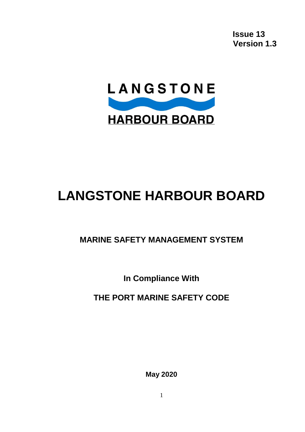**Issue 13 Version 1.3**



# **LANGSTONE HARBOUR BOARD**

## **MARINE SAFETY MANAGEMENT SYSTEM**

**In Compliance With** 

**THE PORT MARINE SAFETY CODE**

**May 2020**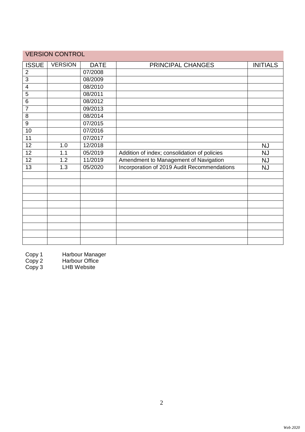| <b>VERSION CONTROL</b> |                |             |                                              |                 |
|------------------------|----------------|-------------|----------------------------------------------|-----------------|
| <b>ISSUE</b>           | <b>VERSION</b> | <b>DATE</b> | PRINCIPAL CHANGES                            | <b>INITIALS</b> |
| $\overline{2}$         |                | 07/2008     |                                              |                 |
| $\overline{3}$         |                | 08/2009     |                                              |                 |
| $\overline{4}$         |                | 08/2010     |                                              |                 |
| 5                      |                | 08/2011     |                                              |                 |
| 6                      |                | 08/2012     |                                              |                 |
| $\overline{7}$         |                | 09/2013     |                                              |                 |
| 8                      |                | 08/2014     |                                              |                 |
| $9\,$                  |                | 07/2015     |                                              |                 |
| 10                     |                | 07/2016     |                                              |                 |
| 11                     |                | 07/2017     |                                              |                 |
| $\overline{12}$        | 1.0            | 12/2018     |                                              | <b>NJ</b>       |
| 12                     | 1.1            | 05/2019     | Addition of index; consolidation of policies | <b>NJ</b>       |
| $\overline{12}$        | 1.2            | 11/2019     | Amendment to Management of Navigation        | <b>NJ</b>       |
| 13                     | 1.3            | 05/2020     | Incorporation of 2019 Audit Recommendations  | <b>NJ</b>       |
|                        |                |             |                                              |                 |
|                        |                |             |                                              |                 |
|                        |                |             |                                              |                 |
|                        |                |             |                                              |                 |
|                        |                |             |                                              |                 |
|                        |                |             |                                              |                 |
|                        |                |             |                                              |                 |
|                        |                |             |                                              |                 |
|                        |                |             |                                              |                 |
|                        |                |             |                                              |                 |

Copy 1 Harbour Manager

Copy 2 Harbour Office Copy 1 Harbour Mana<br>
Copy 2 Harbour Office<br>
Copy 3 LHB Website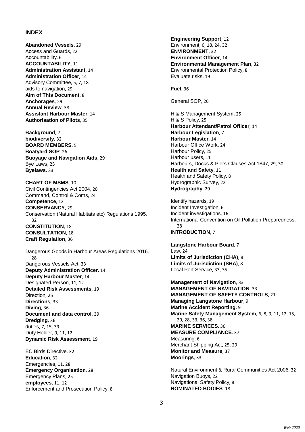#### **INDEX**

**Abandoned Vessels**, 29 Access and Guards, 22 Accountability, 6 **ACCOUNTABILITY**, 11 **Administration Assistant**, 14 **Administration Officer**, 14 Advisory Committee, 5, 7, 18 aids to navigation, 29 **Aim of This Document**, 8 **Anchorages**, 29 **Annual Review**, 38 **Assistant Harbour Master**, 14 **Authorisation of Pilots**, 35

**Background**, 7 **biodiversity**, 32 **BOARD MEMBERS**, 5 **Boatyard SOP**, 26 **Buoyage and Navigation Aids**, 29 Bye Laws, 25 **Byelaws**, 33

**CHART OF MSMS**, 10 Civil Contingencies Act 2004, 28 Command, Control & Coms, 24 **Competence**, 12 **CONSERVANCY**, 29 Conservation (Natural Habitats etc) Regulations 1995, 32 **CONSTITUTION**, 18 **CONSULTATION**, 18 **Craft Regulation**, 36

Dangerous Goods in Harbour Areas Regulations 2016, 28 Dangerous Vessels Act, 33 **Deputy Administration Officer**, 14 **Deputy Harbour Master**, 14 Designated Person, 11, 12 **Detailed Risk Assessments**, 19 Direction, 25 **Directions**, 33 **Diving**, 36 **Document and data control**, 39 **Dredging**, 36 duties, 7, 15, 39 Duty Holder, 9, 11, 12 **Dynamic Risk Assessment**, 19

EC Birds Directive, 32 **Education**, 32 Emergencies, 11, 28 **Emergency Organisation**, 28 Emergency Plans, 25 **employees**, 11, 12 Enforcement and Prosecution Policy, 8 **Engineering Support**, 12 Environment, 6, 18, 24, 32 **ENVIRONMENT**, 32 **Environment Officer**, 14 **Environmental Management Plan**, 32 Environmental Protection Policy, 8 Evaluate risks, 19

**Fuel**, 36

General SOP, 26

H & S Management System, 25 H & S Policy, 25 **Harbour Attendant/Patrol Officer**, 14 **Harbour Legislation**, 7 **Harbour Master**, 14 Harbour Office Work, 24 Harbour Policy, 25 Harbour users, 11 Harbours, Docks & Piers Clauses Act 1847, 29, 30 **Health and Safety**, 11 Health and Safety Policy, 8 Hydrographic Survey, 22 **Hydrography**, 29

Identify hazards, 19 Incident Investigation, 6 Incident investigations, 16 International Convention on Oil Pollution Preparedness, 28 **INTRODUCTION**, 7

**Langstone Harbour Board**, 7 Law, 24 **Limits of Jurisdiction (CHA)**, 8 **Limits of Jurisdiction (SHA)**, 8 Local Port Service, 33, 35

**Management of Navigation**, 33 **MANAGEMENT OF NAVIGATION**, 33 **MANAGEMENT OF SAFETY CONTROLS**, 21 **Managing Langstone Harbour**, 9 **Marine Accident Reporting**, 9 **Marine Safety Management System**, 6, 8, 9, 11, 12, 15, 20, 28, 33, 36, 38 **MARINE SERVICES**, 36 **MEASURE COMPLIANCE**, 37 Measuring, 6 Merchant Shipping Act, 25, 29 **Monitor and Measure**, 37 **Moorings**, 33

Natural Environment & Rural Communities Act 2006, 32 Navigation Buoys, 22 Navigational Safety Policy, 8 **NOMINATED BODIES**, 18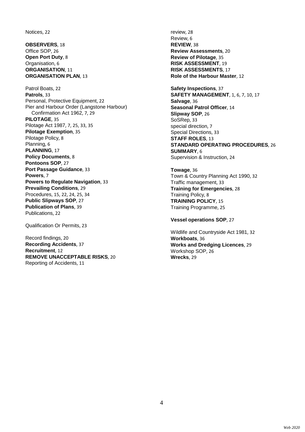Notices, 22

**OBSERVERS**, 18 Office SOP, 26 **Open Port Duty**, 8 Organisation, 6 **ORGANISATION**, 11 **ORGANISATION PLAN**, 13

Patrol Boats, 22 **Patrols**, 33 Personal, Protective Equipment, 22 Pier and Harbour Order (Langstone Harbour) Confirmation Act 1962, 7, 29 **PILOTAGE**, 35 Pilotage Act 1987, 7, 25, 33, 35 **Pilotage Exemption**, 35 Pilotage Policy, 8 Planning, 6 **PLANNING**, 17 **Policy Documents**, 8 **Pontoons SOP**, 27 **Port Passage Guidance**, 33 **Powers**, 7 **Powers to Regulate Navigation**, 33 **Prevailing Conditions**, 29 Procedures, 15, 22, 24, 25, 34 **Public Slipways SOP**, 27 **Publication of Plans**, 39 Publications, 22

Qualification Or Permits, 23

Record findings, 20 **Recording Accidents**, 37 **Recruitment**, 12 **REMOVE UNACCEPTABLE RISKS**, 20 Reporting of Accidents, 11

review, 28 Review, 6 **REVIEW**, 38 **Review Assessments**, 20 **Review of Pilotage**, 35 **RISK ASSESSMENT**, 19 **RISK ASSESSMENTS**, 17 **Role of the Harbour Master**, 12

**Safety Inspections**, 37 **SAFETY MANAGEMENT**, 1, 6, 7, 10, 17 **Salvage**, 36 **Seasonal Patrol Officer**, 14 **Slipway SOP**, 26 SoSRep, 33 special direction, 7 Special Directions, 33 **STAFF ROLES**, 13 **STANDARD OPERATING PROCEDURES**, 26 **SUMMARY**, 6 Supervision & Instruction, 24

**Towage**, 36 Town & Country Planning Act 1990, 32 Traffic management, 33 **Training for Emergencies**, 28 Training Policy, 8 **TRAINING POLICY**, 15 Training Programme, 25

**Vessel operations SOP**, 27

Wildlife and Countryside Act 1981, 32 **Workboats**, 36 **Works and Dredging Licences**, 29 Workshop SOP, 26 **Wrecks**, 29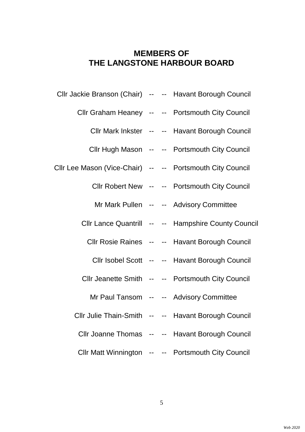## **MEMBERS OF THE LANGSTONE HARBOUR BOARD**

| Cllr Jackie Branson (Chair) -- -- Havant Borough Council  |  |                                                     |
|-----------------------------------------------------------|--|-----------------------------------------------------|
|                                                           |  | Cllr Graham Heaney -- -- Portsmouth City Council    |
|                                                           |  | Cllr Mark Inkster -- -- Havant Borough Council      |
|                                                           |  | Cllr Hugh Mason -- -- Portsmouth City Council       |
| Cllr Lee Mason (Vice-Chair) -- -- Portsmouth City Council |  |                                                     |
|                                                           |  | Cllr Robert New -- -- Portsmouth City Council       |
|                                                           |  | Mr Mark Pullen -- -- Advisory Committee             |
|                                                           |  | Cllr Lance Quantrill -- -- Hampshire County Council |
|                                                           |  | Cllr Rosie Raines -- -- Havant Borough Council      |
|                                                           |  | Cllr Isobel Scott -- -- Havant Borough Council      |
|                                                           |  | Cllr Jeanette Smith -- -- Portsmouth City Council   |
|                                                           |  | Mr Paul Tansom -- -- Advisory Committee             |
|                                                           |  | Cllr Julie Thain-Smith -- -- Havant Borough Council |
|                                                           |  | Cllr Joanne Thomas -- -- Havant Borough Council     |
|                                                           |  | Cllr Matt Winnington -- -- Portsmouth City Council  |
|                                                           |  |                                                     |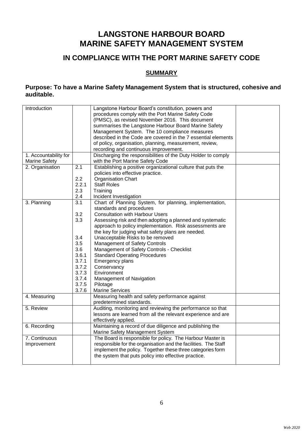## **LANGSTONE HARBOUR BOARD MARINE SAFETY MANAGEMENT SYSTEM**

### **IN COMPLIANCE WITH THE PORT MARINE SAFETY CODE**

### **SUMMARY**

### **Purpose: To have a Marine Safety Management System that is structured, cohesive and auditable.**

| Introduction          |            | Langstone Harbour Board's constitution, powers and<br>procedures comply with the Port Marine Safety Code<br>(PMSC), as revised November 2016. This document<br>summarises the Langstone Harbour Board Marine Safety<br>Management System. The 10 compliance measures<br>described in the Code are covered in the 7 essential elements<br>of policy, organisation, planning, measurement, review,<br>recording and continuous improvement. |  |
|-----------------------|------------|-------------------------------------------------------------------------------------------------------------------------------------------------------------------------------------------------------------------------------------------------------------------------------------------------------------------------------------------------------------------------------------------------------------------------------------------|--|
| 1. Accountability for |            | Discharging the responsibilities of the Duty Holder to comply                                                                                                                                                                                                                                                                                                                                                                             |  |
| <b>Marine Safety</b>  |            | with the Port Marine Safety Code                                                                                                                                                                                                                                                                                                                                                                                                          |  |
| 2. Organisation       | 2.1        | Establishing a positive organizational culture that puts the                                                                                                                                                                                                                                                                                                                                                                              |  |
|                       |            | policies into effective practice.                                                                                                                                                                                                                                                                                                                                                                                                         |  |
|                       | 2.2        | <b>Organisation Chart</b>                                                                                                                                                                                                                                                                                                                                                                                                                 |  |
|                       | 2.2.1      | <b>Staff Roles</b>                                                                                                                                                                                                                                                                                                                                                                                                                        |  |
|                       | 2.3        | Training                                                                                                                                                                                                                                                                                                                                                                                                                                  |  |
|                       | 2.4<br>3.1 | Incident Investigation                                                                                                                                                                                                                                                                                                                                                                                                                    |  |
| 3. Planning           |            | Chart of Planning System, for planning, implementation,                                                                                                                                                                                                                                                                                                                                                                                   |  |
|                       | 3.2        | standards and procedures                                                                                                                                                                                                                                                                                                                                                                                                                  |  |
|                       | 3.3        | <b>Consultation with Harbour Users</b>                                                                                                                                                                                                                                                                                                                                                                                                    |  |
|                       |            | Assessing risk and then adopting a planned and systematic                                                                                                                                                                                                                                                                                                                                                                                 |  |
|                       |            | approach to policy implementation. Risk assessments are                                                                                                                                                                                                                                                                                                                                                                                   |  |
|                       |            | the key for judging what safety plans are needed.                                                                                                                                                                                                                                                                                                                                                                                         |  |
|                       | 3.4        | Unacceptable Risks to be removed                                                                                                                                                                                                                                                                                                                                                                                                          |  |
|                       | 3.5        | <b>Management of Safety Controls</b>                                                                                                                                                                                                                                                                                                                                                                                                      |  |
|                       | 3.6        | Management of Safety Controls - Checklist                                                                                                                                                                                                                                                                                                                                                                                                 |  |
|                       | 3.6.1      | <b>Standard Operating Procedures</b>                                                                                                                                                                                                                                                                                                                                                                                                      |  |
|                       | 3.7.1      | Emergency plans                                                                                                                                                                                                                                                                                                                                                                                                                           |  |
|                       | 3.7.2      | Conservancy                                                                                                                                                                                                                                                                                                                                                                                                                               |  |
|                       | 3.7.3      | Environment                                                                                                                                                                                                                                                                                                                                                                                                                               |  |
|                       | 3.7.4      | Management of Navigation                                                                                                                                                                                                                                                                                                                                                                                                                  |  |
|                       | 3.7.5      | Pilotage                                                                                                                                                                                                                                                                                                                                                                                                                                  |  |
|                       | 3.7.6      | <b>Marine Services</b>                                                                                                                                                                                                                                                                                                                                                                                                                    |  |
| 4. Measuring          |            | Measuring health and safety performance against                                                                                                                                                                                                                                                                                                                                                                                           |  |
| 5. Review             |            | predetermined standards.<br>Auditing, monitoring and reviewing the performance so that                                                                                                                                                                                                                                                                                                                                                    |  |
|                       |            |                                                                                                                                                                                                                                                                                                                                                                                                                                           |  |
|                       |            | lessons are learned from all the relevant experience and are<br>effectively applied.                                                                                                                                                                                                                                                                                                                                                      |  |
| 6. Recording          |            | Maintaining a record of due diligence and publishing the                                                                                                                                                                                                                                                                                                                                                                                  |  |
|                       |            | Marine Safety Management System                                                                                                                                                                                                                                                                                                                                                                                                           |  |
| 7. Continuous         |            | The Board is responsible for policy. The Harbour Master is                                                                                                                                                                                                                                                                                                                                                                                |  |
| Improvement           |            | responsible for the organisation and the facilities. The Staff                                                                                                                                                                                                                                                                                                                                                                            |  |
|                       |            | implement the policy. Together these three categories form                                                                                                                                                                                                                                                                                                                                                                                |  |
|                       |            | the system that puts policy into effective practice.                                                                                                                                                                                                                                                                                                                                                                                      |  |
|                       |            |                                                                                                                                                                                                                                                                                                                                                                                                                                           |  |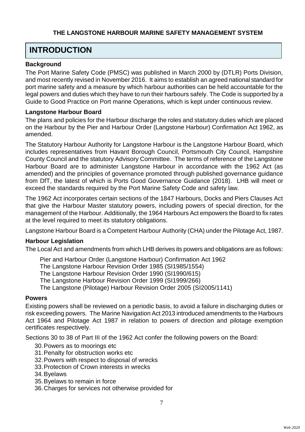## **INTRODUCTION**

### **Background**

The Port Marine Safety Code (PMSC) was published in March 2000 by (DTLR) Ports Division, and most recently revised in November 2016. It aims to establish an agreed national standard for port marine safety and a measure by which harbour authorities can be held accountable for the legal powers and duties which they have to run their harbours safely. The Code is supported by a Guide to Good Practice on Port marine Operations, which is kept under continuous review.

### **Langstone Harbour Board**

The plans and policies for the Harbour discharge the roles and statutory duties which are placed on the Harbour by the Pier and Harbour Order (Langstone Harbour) Confirmation Act 1962, as amended.

The Statutory Harbour Authority for Langstone Harbour is the Langstone Harbour Board, which includes representatives from Havant Borough Council, Portsmouth City Council, Hampshire County Council and the statutory Advisory Committee. The terms of reference of the Langstone Harbour Board are to administer Langstone Harbour in accordance with the 1962 Act (as amended) and the principles of governance promoted through published governance guidance from DfT, the latest of which is Ports Good Governance Guidance (2018). LHB will meet or exceed the standards required by the Port Marine Safety Code and safety law.

The 1962 Act incorporates certain sections of the 1847 Harbours, Docks and Piers Clauses Act that give the Harbour Master statutory powers, including powers of special direction, for the management of the Harbour. Additionally, the 1964 Harbours Act empowers the Board to fix rates at the level required to meet its statutory obligations.

Langstone Harbour Board is a Competent Harbour Authority (CHA) under the Pilotage Act, 1987.

### **Harbour Legislation**

The Local Act and amendments from which LHB derives its powers and obligations are as follows:

Pier and Harbour Order (Langstone Harbour) Confirmation Act 1962

The Langstone Harbour Revision Order 1985 (SI1985/1554)

The Langstone Harbour Revision Order 1990 (SI1990/615)

The Langstone Harbour Revision Order 1999 (SI1999/266)

The Langstone (Pilotage) Harbour Revision Order 2005 (SI2005/1141)

### **Powers**

Existing powers shall be reviewed on a periodic basis, to avoid a failure in discharging duties or risk exceeding powers. The Marine Navigation Act 2013 introduced amendments to the Harbours Act 1964 and Pilotage Act 1987 in relation to powers of direction and pilotage exemption certificates respectively.

Sections 30 to 38 of Part III of the 1962 Act confer the following powers on the Board:

- 30.Powers as to moorings etc
- 31.Penalty for obstruction works etc
- 32.Powers with respect to disposal of wrecks
- 33.Protection of Crown interests in wrecks
- 34.Byelaws
- 35.Byelaws to remain in force
- 36.Charges for services not otherwise provided for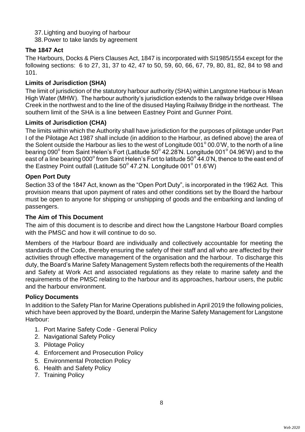37.Lighting and buoying of harbour 38.Power to take lands by agreement

### **The 1847 Act**

The Harbours, Docks & Piers Clauses Act, 1847 is incorporated with SI1985/1554 except for the following sections: 6 to 27, 31, 37 to 42, 47 to 50, 59, 60, 66, 67, 79, 80, 81, 82, 84 to 98 and 101.

### **Limits of Jurisdiction (SHA)**

The limit of jurisdiction of the statutory harbour authority (SHA) within Langstone Harbour is Mean High Water (MHW). The harbour authority's jurisdiction extends to the railway bridge over Hilsea Creek in the northwest and to the line of the disused Hayling Railway Bridge in the northeast. The southern limit of the SHA is a line between Eastney Point and Gunner Point.

### **Limits of Jurisdiction (CHA)**

The limits within which the Authority shall have jurisdiction for the purposes of pilotage under Part I of the Pilotage Act 1987 shall include (in addition to the Harbour, as defined above) the area of the Solent outside the Harbour as lies to the west of Longitude 001 $^{\circ}$  00.0'W, to the north of a line bearing 090 $^{\rm o}$  from Saint Helen's Fort (Latitude 50 $^{\rm o}$  42.28'N. Longitude 001 $^{\rm o}$  04.96'W) and to the east of a line bearing 000 $^{\circ}$  from Saint Helen's Fort to latitude 50 $^{\circ}$  44.0'N, thence to the east end of the Eastney Point outfall (Latitude 50 $^{\circ}$  47.2'N. Longitude 001 $^{\circ}$  01.6'W)

### **Open Port Duty**

Section 33 of the 1847 Act, known as the "Open Port Duty", is incorporated in the 1962 Act. This provision means that upon payment of rates and other conditions set by the Board the harbour must be open to anyone for shipping or unshipping of goods and the embarking and landing of passengers.

### **The Aim of This Document**

The aim of this document is to describe and direct how the Langstone Harbour Board complies with the PMSC and how it will continue to do so.

Members of the Harbour Board are individually and collectively accountable for meeting the standards of the Code, thereby ensuring the safety of their staff and all who are affected by their activities through effective management of the organisation and the harbour. To discharge this duty, the Board's Marine Safety Management System reflects both the requirements of the Health and Safety at Work Act and associated regulations as they relate to marine safety and the requirements of the PMSC relating to the harbour and its approaches, harbour users, the public and the harbour environment.

#### **Policy Documents**

In addition to the Safety Plan for Marine Operations published in April 2019 the following policies, which have been approved by the Board, underpin the Marine Safety Management for Langstone Harbour:

- 1. Port Marine Safety Code General Policy
- 2. Navigational Safety Policy
- 3. Pilotage Policy
- 4. Enforcement and Prosecution Policy
- 5. Environmental Protection Policy
- 6. Health and Safety Policy
- 7. Training Policy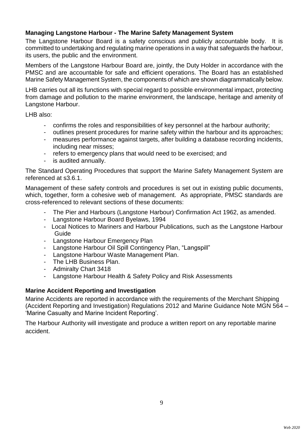### **Managing Langstone Harbour - The Marine Safety Management System**

The Langstone Harbour Board is a safety conscious and publicly accountable body. It is committed to undertaking and regulating marine operations in a way that safeguards the harbour, its users, the public and the environment.

Members of the Langstone Harbour Board are, jointly, the Duty Holder in accordance with the PMSC and are accountable for safe and efficient operations. The Board has an established Marine Safety Management System, the components of which are shown diagrammatically below.

LHB carries out all its functions with special regard to possible environmental impact, protecting from damage and pollution to the marine environment, the landscape, heritage and amenity of Langstone Harbour.

LHB also:

- confirms the roles and responsibilities of key personnel at the harbour authority;
- outlines present procedures for marine safety within the harbour and its approaches;
- measures performance against targets, after building a database recording incidents, including near misses;
- refers to emergency plans that would need to be exercised; and
- is audited annually.

The Standard Operating Procedures that support the Marine Safety Management System are referenced at s3.6.1.

Management of these safety controls and procedures is set out in existing public documents, which, together, form a cohesive web of management. As appropriate, PMSC standards are cross-referenced to relevant sections of these documents:

- The Pier and Harbours (Langstone Harbour) Confirmation Act 1962, as amended.
- Langstone Harbour Board Byelaws, 1994
- Local Notices to Mariners and Harbour Publications, such as the Langstone Harbour Guide
- Langstone Harbour Emergency Plan
- Langstone Harbour Oil Spill Contingency Plan, "Langspill"
- Langstone Harbour Waste Management Plan.
- The LHB Business Plan.
- Admiralty Chart 3418
- Langstone Harbour Health & Safety Policy and Risk Assessments

### **Marine Accident Reporting and Investigation**

Marine Accidents are reported in accordance with the requirements of the Merchant Shipping (Accident Reporting and Investigation) Regulations 2012 and Marine Guidance Note MGN 564 – 'Marine Casualty and Marine Incident Reporting'.

The Harbour Authority will investigate and produce a written report on any reportable marine accident.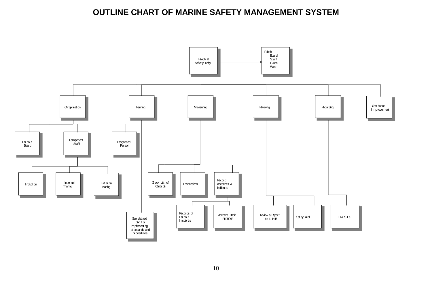## **OUTLINE CHART OF MARINE SAFETY MANAGEMENT SYSTEM**

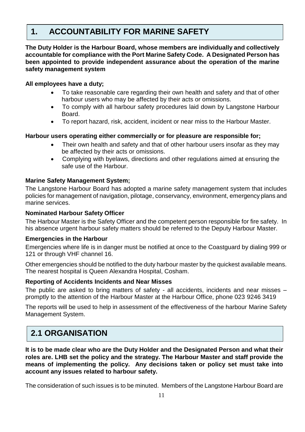## **1. ACCOUNTABILITY FOR MARINE SAFETY**

**The Duty Holder is the Harbour Board, whose members are individually and collectively accountable for compliance with the Port Marine Safety Code. A Designated Person has been appointed to provide independent assurance about the operation of the marine safety management system**

### **All employees have a duty;**

- To take reasonable care regarding their own health and safety and that of other harbour users who may be affected by their acts or omissions.
- To comply with all harbour safety procedures laid down by Langstone Harbour Board.
- To report hazard, risk, accident, incident or near miss to the Harbour Master.

### **Harbour users operating either commercially or for pleasure are responsible for;**

- Their own health and safety and that of other harbour users insofar as they may be affected by their acts or omissions.
- Complying with byelaws, directions and other regulations aimed at ensuring the safe use of the Harbour.

### **Marine Safety Management System;**

The Langstone Harbour Board has adopted a marine safety management system that includes policies for management of navigation, pilotage, conservancy, environment, emergency plans and marine services.

### **Nominated Harbour Safety Officer**

The Harbour Master is the Safety Officer and the competent person responsible for fire safety. In his absence urgent harbour safety matters should be referred to the Deputy Harbour Master.

### **Emergencies in the Harbour**

Emergencies where life is in danger must be notified at once to the Coastguard by dialing 999 or 121 or through VHF channel 16.

Other emergencies should be notified to the duty harbour master by the quickest available means. The nearest hospital is Queen Alexandra Hospital, Cosham.

### **Reporting of Accidents Incidents and Near Misses**

The public are asked to bring matters of safety - all accidents, incidents and near misses – promptly to the attention of the Harbour Master at the Harbour Office, phone 023 9246 3419

The reports will be used to help in assessment of the effectiveness of the harbour Marine Safety Management System.

## **2.1 ORGANISATION**

**It is to be made clear who are the Duty Holder and the Designated Person and what their roles are. LHB set the policy and the strategy. The Harbour Master and staff provide the means of implementing the policy. Any decisions taken or policy set must take into account any issues related to harbour safety.** 

The consideration of such issues is to be minuted. Members of the Langstone Harbour Board are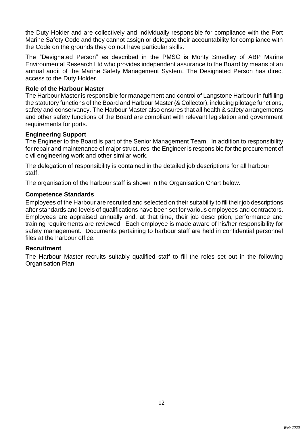the Duty Holder and are collectively and individually responsible for compliance with the Port Marine Safety Code and they cannot assign or delegate their accountability for compliance with the Code on the grounds they do not have particular skills.

The "Designated Person" as described in the PMSC is Monty Smedley of ABP Marine Environmental Research Ltd who provides independent assurance to the Board by means of an annual audit of the Marine Safety Management System. The Designated Person has direct access to the Duty Holder.

### **Role of the Harbour Master**

The Harbour Master is responsible for management and control of Langstone Harbour in fulfilling the statutory functions of the Board and Harbour Master (& Collector), including pilotage functions, safety and conservancy. The Harbour Master also ensures that all health & safety arrangements and other safety functions of the Board are compliant with relevant legislation and government requirements for ports.

### **Engineering Support**

The Engineer to the Board is part of the Senior Management Team. In addition to responsibility for repair and maintenance of major structures, the Engineer is responsible for the procurement of civil engineering work and other similar work.

The delegation of responsibility is contained in the detailed job descriptions for all harbour staff.

The organisation of the harbour staff is shown in the Organisation Chart below.

### **Competence Standards**

Employees of the Harbour are recruited and selected on their suitability to fill their job descriptions after standards and levels of qualifications have been set for various employees and contractors. Employees are appraised annually and, at that time, their job description, performance and training requirements are reviewed. Each employee is made aware of his/her responsibility for safety management. Documents pertaining to harbour staff are held in confidential personnel files at the harbour office.

#### **Recruitment**

The Harbour Master recruits suitably qualified staff to fill the roles set out in the following Organisation Plan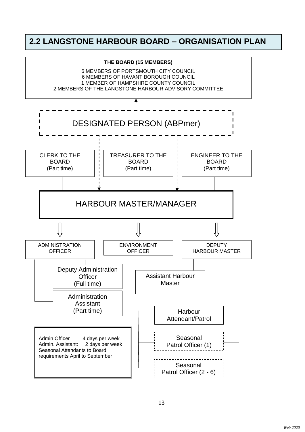## **2.2 LANGSTONE HARBOUR BOARD – ORGANISATION PLAN**

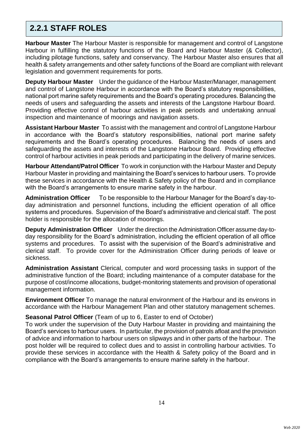## **2.2.1 STAFF ROLES**

**Harbour Master** The Harbour Master is responsible for management and control of Langstone Harbour in fulfilling the statutory functions of the Board and Harbour Master (& Collector), including pilotage functions, safety and conservancy. The Harbour Master also ensures that all health & safety arrangements and other safety functions of the Board are compliant with relevant legislation and government requirements for ports.

**Deputy Harbour Master** Under the guidance of the Harbour Master/Manager, management and control of Langstone Harbour in accordance with the Board's statutory responsibilities, national port marine safety requirements and the Board's operating procedures. Balancing the needs of users and safeguarding the assets and interests of the Langstone Harbour Board. Providing effective control of harbour activities in peak periods and undertaking annual inspection and maintenance of moorings and navigation assets.

**Assistant Harbour Master** To assist with the management and control of Langstone Harbour in accordance with the Board's statutory responsibilities, national port marine safety requirements and the Board's operating procedures. Balancing the needs of users and safeguarding the assets and interests of the Langstone Harbour Board. Providing effective control of harbour activities in peak periods and participating in the delivery of marine services.

**Harbour Attendant/Patrol Officer** To work in conjunction with the Harbour Master and Deputy Harbour Master in providing and maintaining the Board's services to harbour users. To provide these services in accordance with the Health & Safety policy of the Board and in compliance with the Board's arrangements to ensure marine safety in the harbour.

**Administration Officer** To be responsible to the Harbour Manager for the Board's day-today administration and personnel functions, including the efficient operation of all office systems and procedures. Supervision of the Board's administrative and clerical staff. The post holder is responsible for the allocation of moorings.

**Deputy Administration Officer** Under the direction the Administration Officer assume day-today responsibility for the Board's administration, including the efficient operation of all office systems and procedures. To assist with the supervision of the Board's administrative and clerical staff. To provide cover for the Administration Officer during periods of leave or sickness.

**Administration Assistant** Clerical, computer and word processing tasks in support of the administrative function of the Board; including maintenance of a computer database for the purpose of cost/income allocations, budget-monitoring statements and provision of operational management information.

**Environment Officer** To manage the natural environment of the Harbour and its environs in accordance with the Harbour Management Plan and other statutory management schemes.

### **Seasonal Patrol Officer** (Team of up to 6, Easter to end of October)

To work under the supervision of the Duty Harbour Master in providing and maintaining the Board's services to harbour users. In particular, the provision of patrols afloat and the provision of advice and information to harbour users on slipways and in other parts of the harbour. The post holder will be required to collect dues and to assist in controlling harbour activities. To provide these services in accordance with the Health & Safety policy of the Board and in compliance with the Board's arrangements to ensure marine safety in the harbour.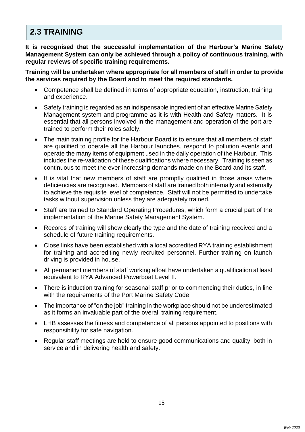## **2.3 TRAINING**

**It is recognised that the successful implementation of the Harbour's Marine Safety Management System can only be achieved through a policy of continuous training, with regular reviews of specific training requirements.**

**Training will be undertaken where appropriate for all members of staff in order to provide the services required by the Board and to meet the required standards.** 

- Competence shall be defined in terms of appropriate education, instruction, training and experience.
- Safety training is regarded as an indispensable ingredient of an effective Marine Safety Management system and programme as it is with Health and Safety matters. It is essential that all persons involved in the management and operation of the port are trained to perform their roles safely.
- The main training profile for the Harbour Board is to ensure that all members of staff are qualified to operate all the Harbour launches, respond to pollution events and operate the many items of equipment used in the daily operation of the Harbour. This includes the re-validation of these qualifications where necessary. Training is seen as continuous to meet the ever-increasing demands made on the Board and its staff.
- It is vital that new members of staff are promptly qualified in those areas where deficiencies are recognised. Members of staff are trained both internally and externally to achieve the requisite level of competence. Staff will not be permitted to undertake tasks without supervision unless they are adequately trained.
- Staff are trained to Standard Operating Procedures, which form a crucial part of the implementation of the Marine Safety Management System.
- Records of training will show clearly the type and the date of training received and a schedule of future training requirements.
- Close links have been established with a local accredited RYA training establishment for training and accrediting newly recruited personnel. Further training on launch driving is provided in house.
- All permanent members of staff working afloat have undertaken a qualification at least equivalent to RYA Advanced Powerboat Level II.
- There is induction training for seasonal staff prior to commencing their duties, in line with the requirements of the Port Marine Safety Code
- The importance of "on the job" training in the workplace should not be underestimated as it forms an invaluable part of the overall training requirement.
- LHB assesses the fitness and competence of all persons appointed to positions with responsibility for safe navigation.
- Regular staff meetings are held to ensure good communications and quality, both in service and in delivering health and safety.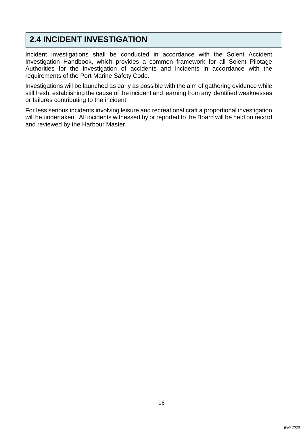## **2.4 INCIDENT INVESTIGATION**

Incident investigations shall be conducted in accordance with the Solent Accident Investigation Handbook, which provides a common framework for all Solent Pilotage Authorities for the investigation of accidents and incidents in accordance with the requirements of the Port Marine Safety Code.

Investigations will be launched as early as possible with the aim of gathering evidence while still fresh, establishing the cause of the incident and learning from any identified weaknesses or failures contributing to the incident.

For less serious incidents involving leisure and recreational craft a proportional investigation will be undertaken. All incidents witnessed by or reported to the Board will be held on record and reviewed by the Harbour Master.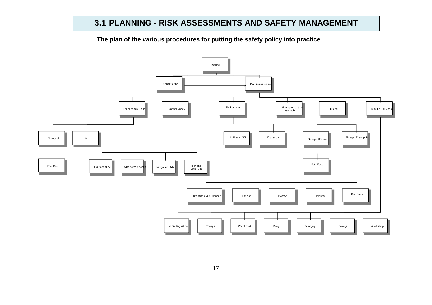## **3.1 PLANNING - RISK ASSESSMENTS AND SAFETY MANAGEMENT**

**The plan of the various procedures for putting the safety policy into practice**

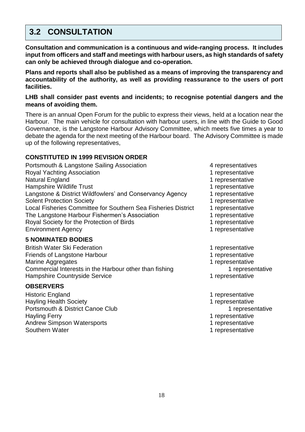## **3.2 CONSULTATION**

**Consultation and communication is a continuous and wide-ranging process. It includes input from officers and staff and meetings with harbour users, as high standards of safety can only be achieved through dialogue and co-operation.**

**Plans and reports shall also be published as a means of improving the transparency and accountability of the authority, as well as providing reassurance to the users of port facilities.** 

### **LHB shall consider past events and incidents; to recognise potential dangers and the means of avoiding them.**

There is an annual Open Forum for the public to express their views, held at a location near the Harbour. The main vehicle for consultation with harbour users, in line with the Guide to Good Governance, is the Langstone Harbour Advisory Committee, which meets five times a year to debate the agenda for the next meeting of the Harbour board. The Advisory Committee is made up of the following representatives,

### **CONSTITUTED IN 1999 REVISION ORDER**

| Portsmouth & Langstone Sailing Association                    |
|---------------------------------------------------------------|
| <b>Royal Yachting Association</b>                             |
| Natural England                                               |
| <b>Hampshire Wildlife Trust</b>                               |
| Langstone & District Wildfowlers' and Conservancy Agency      |
| <b>Solent Protection Society</b>                              |
| Local Fisheries Committee for Southern Sea Fisheries District |
| The Langstone Harbour Fishermen's Association                 |
| Royal Society for the Protection of Birds                     |
| <b>Environment Agency</b>                                     |

#### **5 NOMINATED BODIES**

British Water Ski Federation 1 representative Friends of Langstone Harbour 1 representative Marine Aggregates **1** representative Commercial Interests in the Harbour other than fishing 1 representative Hampshire Countryside Service 1 representative 1 representative

### **OBSERVERS**

Historic England 1 representative Hayling Health Society **1** representative Portsmouth & District Canoe Club 1 representative Hayling Ferry 2008 and the state of the state of the state of the 1 representative Andrew Simpson Watersports<br>
Southern Water<br>
1 representative

4 representatives

1 representative

1 representative

1 representative

1 representative

- 1 representative
- 1 representative
- 1 representative
- 1 representative
- 1 representative
- 
- 
- -
- 
- 
- -
- 
- 
- 1 representative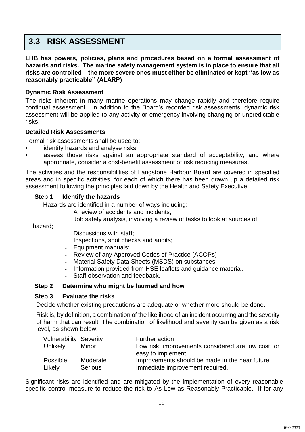## **3.3 RISK ASSESSMENT**

**LHB has powers, policies, plans and procedures based on a formal assessment of hazards and risks. The marine safety management system is in place to ensure that all risks are controlled – the more severe ones must either be eliminated or kept ''as low as reasonably practicable'' (ALARP)**

### **Dynamic Risk Assessment**

The risks inherent in many marine operations may change rapidly and therefore require continual assessment. In addition to the Board's recorded risk assessments, dynamic risk assessment will be applied to any activity or emergency involving changing or unpredictable risks.

### **Detailed Risk Assessments**

Formal risk assessments shall be used to:

- identify hazards and analyse risks;
- assess those risks against an appropriate standard of acceptability; and where appropriate, consider a cost-benefit assessment of risk reducing measures.

The activities and the responsibilities of Langstone Harbour Board are covered in specified areas and in specific activities, for each of which there has been drawn up a detailed risk assessment following the principles laid down by the Health and Safety Executive.

### **Step 1 Identify the hazards**

Hazards are identified in a number of ways including:

- A review of accidents and incidents;
- Job safety analysis, involving a review of tasks to look at sources of

hazard;

- Discussions with staff:
- Inspections, spot checks and audits;
- Equipment manuals;
- Review of any Approved Codes of Practice (ACOPs)
- Material Safety Data Sheets (MSDS) on substances;
- Information provided from HSE leaflets and guidance material.
- Staff observation and feedback.

### **Step 2 Determine who might be harmed and how**

### **Step 3 Evaluate the risks**

Decide whether existing precautions are adequate or whether more should be done.

Risk is, by definition, a combination of the likelihood of an incident occurring and the severity of harm that can result. The combination of likelihood and severity can be given as a risk level, as shown below:

| <b>Vulnerability Severity</b> |                | Further action                                     |
|-------------------------------|----------------|----------------------------------------------------|
| <b>Unlikely</b>               | Minor          | Low risk, improvements considered are low cost, or |
|                               |                | easy to implement                                  |
| Possible                      | Moderate       | Improvements should be made in the near future     |
| Likely                        | <b>Serious</b> | Immediate improvement required.                    |

Significant risks are identified and are mitigated by the implementation of every reasonable specific control measure to reduce the risk to As Low as Reasonably Practicable. If for any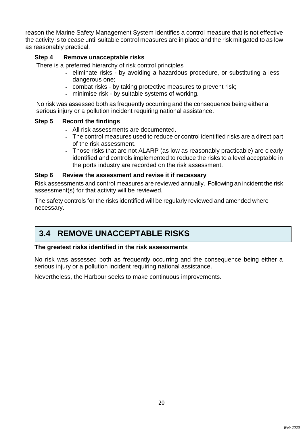reason the Marine Safety Management System identifies a control measure that is not effective the activity is to cease until suitable control measures are in place and the risk mitigated to as low as reasonably practical.

### **Step 4 Remove unacceptable risks**

There is a preferred hierarchy of risk control principles

- eliminate risks by avoiding a hazardous procedure, or substituting a less dangerous one;
- combat risks by taking protective measures to prevent risk;
- minimise risk by suitable systems of working.

No risk was assessed both as frequently occurring and the consequence being either a serious injury or a pollution incident requiring national assistance.

### **Step 5 Record the findings**

- All risk assessments are documented.
- The control measures used to reduce or control identified risks are a direct part of the risk assessment.
- Those risks that are not ALARP (as low as reasonably practicable) are clearly identified and controls implemented to reduce the risks to a level acceptable in the ports industry are recorded on the risk assessment.

### **Step 6 Review the assessment and revise it if necessary**

Risk assessments and control measures are reviewed annually. Following an incident the risk assessment(s) for that activity will be reviewed.

The safety controls for the risks identified will be regularly reviewed and amended where necessary.

## **3.4 REMOVE UNACCEPTABLE RISKS**

### **The greatest risks identified in the risk assessments**

No risk was assessed both as frequently occurring and the consequence being either a serious injury or a pollution incident requiring national assistance.

Nevertheless, the Harbour seeks to make continuous improvements.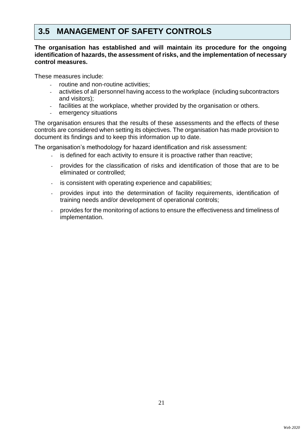## **3.5 MANAGEMENT OF SAFETY CONTROLS**

### **The organisation has established and will maintain its procedure for the ongoing identification of hazards, the assessment of risks, and the implementation of necessary control measures.**

These measures include:

- routine and non-routine activities;
- activities of all personnel having access to the workplace (including subcontractors and visitors);
- facilities at the workplace, whether provided by the organisation or others.
- emergency situations

The organisation ensures that the results of these assessments and the effects of these controls are considered when setting its objectives. The organisation has made provision to document its findings and to keep this information up to date.

The organisation's methodology for hazard identification and risk assessment:

- is defined for each activity to ensure it is proactive rather than reactive;
- provides for the classification of risks and identification of those that are to be eliminated or controlled;
- is consistent with operating experience and capabilities;
- provides input into the determination of facility requirements, identification of training needs and/or development of operational controls;
- provides for the monitoring of actions to ensure the effectiveness and timeliness of implementation.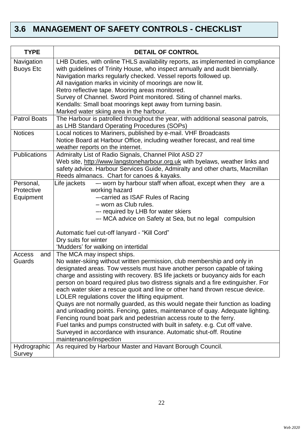## **3.6 MANAGEMENT OF SAFETY CONTROLS - CHECKLIST**

| <b>TYPE</b>                    | <b>DETAIL OF CONTROL</b>                                                                                                                                        |
|--------------------------------|-----------------------------------------------------------------------------------------------------------------------------------------------------------------|
| Navigation<br><b>Buoys Etc</b> | LHB Duties, with online THLS availability reports, as implemented in compliance<br>with guidelines of Trinity House, who inspect annually and audit biennially. |
|                                | Navigation marks regularly checked. Vessel reports followed up.                                                                                                 |
|                                | All navigation marks in vicinity of moorings are now lit.                                                                                                       |
|                                | Retro reflective tape. Mooring areas monitored.                                                                                                                 |
|                                | Survey of Channel. Sword Point monitored. Siting of channel marks.                                                                                              |
|                                | Kendalls: Small boat moorings kept away from turning basin.                                                                                                     |
|                                | Marked water skiing area in the harbour.                                                                                                                        |
| <b>Patrol Boats</b>            | The Harbour is patrolled throughout the year, with additional seasonal patrols,                                                                                 |
|                                | as LHB Standard Operating Procedures (SOPs)                                                                                                                     |
| <b>Notices</b>                 | Local notices to Mariners, published by e-mail. VHF Broadcasts                                                                                                  |
|                                | Notice Board at Harbour Office, including weather forecast, and real time                                                                                       |
|                                | weather reports on the internet.                                                                                                                                |
| <b>Publications</b>            | Admiralty List of Radio Signals, Channel Pilot ASD 27                                                                                                           |
|                                | Web site, http://www.langstoneharbour.org.uk with byelaws, weather links and<br>safety advice. Harbour Services Guide, Admiralty and other charts, Macmillan    |
|                                | Reeds almanacs. Chart for canoes & kayaks.                                                                                                                      |
| Personal,                      | -- worn by harbour staff when afloat, except when they are a<br>Life jackets                                                                                    |
| Protective                     | working hazard                                                                                                                                                  |
| Equipment                      | -- carried as ISAF Rules of Racing                                                                                                                              |
|                                | - worn as Club rules.                                                                                                                                           |
|                                | -- required by LHB for water skiers                                                                                                                             |
|                                | -- MCA advice on Safety at Sea, but no legal compulsion                                                                                                         |
|                                | Automatic fuel cut-off lanyard - "Kill Cord"                                                                                                                    |
|                                | Dry suits for winter                                                                                                                                            |
|                                | 'Mudders' for walking on intertidal                                                                                                                             |
| Access<br>and                  | The MCA may inspect ships.                                                                                                                                      |
| Guards                         | No water-skiing without written permission, club membership and only in                                                                                         |
|                                | designated areas. Tow vessels must have another person capable of taking<br>charge and assisting with recovery. BS life jackets or buoyancy aids for each       |
|                                | person on board required plus two distress signals and a fire extinguisher. For                                                                                 |
|                                | each water skier a rescue quoit and line or other hand thrown rescue device.                                                                                    |
|                                | LOLER regulations cover the lifting equipment.                                                                                                                  |
|                                | Quays are not normally guarded, as this would negate their function as loading                                                                                  |
|                                | and unloading points. Fencing, gates, maintenance of quay. Adequate lighting.                                                                                   |
|                                | Fencing round boat park and pedestrian access route to the ferry.                                                                                               |
|                                | Fuel tanks and pumps constructed with built in safety. e.g. Cut off valve.                                                                                      |
|                                | Surveyed in accordance with insurance. Automatic shut-off. Routine                                                                                              |
|                                | maintenance/inspection                                                                                                                                          |
| Hydrographic                   | As required by Harbour Master and Havant Borough Council.                                                                                                       |
| Survey                         |                                                                                                                                                                 |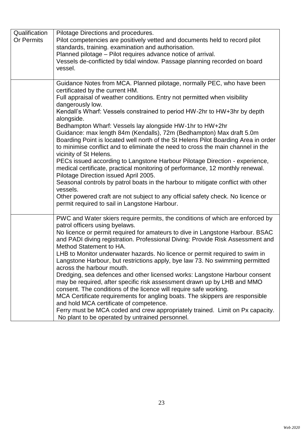| Qualification     | Pilotage Directions and procedures.                                                |
|-------------------|------------------------------------------------------------------------------------|
| <b>Or Permits</b> | Pilot competencies are positively vetted and documents held to record pilot        |
|                   | standards, training. examination and authorisation.                                |
|                   | Planned pilotage - Pilot requires advance notice of arrival.                       |
|                   | Vessels de-conflicted by tidal window. Passage planning recorded on board          |
|                   | vessel.                                                                            |
|                   |                                                                                    |
|                   | Guidance Notes from MCA. Planned pilotage, normally PEC, who have been             |
|                   | certificated by the current HM.                                                    |
|                   | Full appraisal of weather conditions. Entry not permitted when visibility          |
|                   | dangerously low.                                                                   |
|                   | Kendall's Wharf: Vessels constrained to period HW-2hr to HW+3hr by depth           |
|                   | alongside.                                                                         |
|                   | Bedhampton Wharf: Vessels lay alongside HW-1hr to HW+2hr                           |
|                   | Guidance: max length 84m (Kendalls), 72m (Bedhampton) Max draft 5.0m               |
|                   | Boarding Point is located well north of the St Helens Pilot Boarding Area in order |
|                   | to minimise conflict and to eliminate the need to cross the main channel in the    |
|                   | vicinity of St Helens.                                                             |
|                   | PECs issued according to Langstone Harbour Pilotage Direction - experience,        |
|                   | medical certificate, practical monitoring of performance, 12 monthly renewal.      |
|                   | Pilotage Direction issued April 2005.                                              |
|                   | Seasonal controls by patrol boats in the harbour to mitigate conflict with other   |
|                   | vessels.                                                                           |
|                   | Other powered craft are not subject to any official safety check. No licence or    |
|                   | permit required to sail in Langstone Harbour.                                      |
|                   |                                                                                    |
|                   | PWC and Water skiers require permits, the conditions of which are enforced by      |
|                   | patrol officers using byelaws.                                                     |
|                   | No licence or permit required for amateurs to dive in Langstone Harbour. BSAC      |
|                   | and PADI diving registration. Professional Diving: Provide Risk Assessment and     |
|                   | Method Statement to HA.                                                            |
|                   | LHB to Monitor underwater hazards. No licence or permit required to swim in        |
|                   | Langstone Harbour, but restrictions apply, bye law 73. No swimming permitted       |
|                   | across the harbour mouth.                                                          |
|                   | Dredging, sea defences and other licensed works: Langstone Harbour consent         |
|                   | may be required, after specific risk assessment drawn up by LHB and MMO            |
|                   | consent. The conditions of the licence will require safe working.                  |
|                   | MCA Certificate requirements for angling boats. The skippers are responsible       |
|                   | and hold MCA certificate of competence.                                            |
|                   | Ferry must be MCA coded and crew appropriately trained. Limit on Px capacity.      |
|                   | No plant to be operated by untrained personnel.                                    |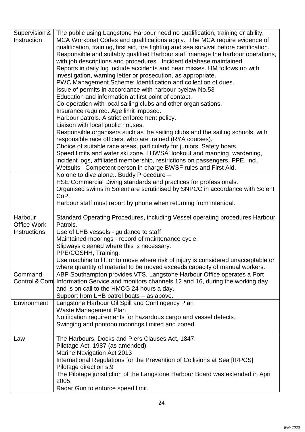| Supervision &       | The public using Langstone Harbour need no qualification, training or ability.           |
|---------------------|------------------------------------------------------------------------------------------|
| Instruction         | MCA Workboat Codes and qualifications apply. The MCA require evidence of                 |
|                     | qualification, training, first aid, fire fighting and sea survival before certification. |
|                     | Responsible and suitably qualified Harbour staff manage the harbour operations,          |
|                     | with job descriptions and procedures. Incident database maintained.                      |
|                     | Reports in daily log include accidents and near misses. HM follows up with               |
|                     | investigation, warning letter or prosecution, as appropriate.                            |
|                     |                                                                                          |
|                     | PWC Management Scheme: Identification and collection of dues.                            |
|                     | Issue of permits in accordance with harbour byelaw No.53                                 |
|                     | Education and information at first point of contact.                                     |
|                     | Co-operation with local sailing clubs and other organisations.                           |
|                     | Insurance required. Age limit imposed.                                                   |
|                     | Harbour patrols. A strict enforcement policy.                                            |
|                     | Liaison with local public houses.                                                        |
|                     | Responsible organisers such as the sailing clubs and the sailing schools, with           |
|                     | responsible race officers, who are trained (RYA courses).                                |
|                     | Choice of suitable race areas, particularly for juniors. Safety boats.                   |
|                     | Speed limits and water ski zone. LHWSA' lookout and manning, wardening,                  |
|                     | incident logs, affiliated membership, restrictions on passengers, PPE, incl.             |
|                     | Wetsuits. Competent person in charge BWSF rules and First Aid.                           |
|                     | No one to dive alone Buddy Procedure -                                                   |
|                     | HSE Commercial Diving standards and practices for professionals.                         |
|                     | Organised swims in Solent are scrutinised by SNPCC in accordance with Solent             |
|                     | CoP.                                                                                     |
|                     | Harbour staff must report by phone when returning from intertidal.                       |
|                     |                                                                                          |
| Harbour             | Standard Operating Procedures, including Vessel operating procedures Harbour             |
| Office Work         | Patrols.                                                                                 |
| <b>Instructions</b> | Use of LHB vessels - guidance to staff                                                   |
|                     | Maintained moorings - record of maintenance cycle.                                       |
|                     | Slipways cleaned where this is necessary.                                                |
|                     | PPE/COSHH, Training,                                                                     |
|                     | Use machine to lift or to move where risk of injury is considered unacceptable or        |
|                     | where quantity of material to be moved exceeds capacity of manual workers.               |
| Command,            | ABP Southampton provides VTS. Langstone Harbour Office operates a Port                   |
|                     |                                                                                          |
| Control & Com       | Information Service and monitors channels 12 and 16, during the working day              |
|                     | and is on call to the HMCG 24 hours a day.                                               |
|                     | Support from LHB patrol boats - as above.                                                |
| Environment         | Langstone Harbour Oil Spill and Contingency Plan                                         |
|                     | <b>Waste Management Plan</b>                                                             |
|                     | Notification requirements for hazardous cargo and vessel defects.                        |
|                     | Swinging and pontoon moorings limited and zoned.                                         |
|                     |                                                                                          |
| Law                 | The Harbours, Docks and Piers Clauses Act, 1847.                                         |
|                     | Pilotage Act, 1987 (as amended)                                                          |
|                     | Marine Navigation Act 2013                                                               |
|                     | International Regulations for the Prevention of Collisions at Sea [IRPCS]                |
|                     | Pilotage direction s.9                                                                   |
|                     | The Pilotage jurisdiction of the Langstone Harbour Board was extended in April           |
|                     | 2005.                                                                                    |
|                     | Radar Gun to enforce speed limit.                                                        |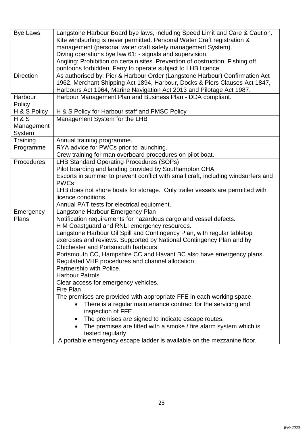| <b>Bye Laws</b>  | Langstone Harbour Board bye laws, including Speed Limit and Care & Caution.           |
|------------------|---------------------------------------------------------------------------------------|
|                  | Kite windsurfing is never permitted. Personal Water Craft registration &              |
|                  | management (personal water craft safety management System).                           |
|                  | Diving operations bye law 61: - signals and supervision.                              |
|                  | Angling: Prohibition on certain sites. Prevention of obstruction. Fishing off         |
|                  | pontoons forbidden. Ferry to operate subject to LHB licence.                          |
| <b>Direction</b> | As authorised by: Pier & Harbour Order (Langstone Harbour) Confirmation Act           |
|                  | 1962, Merchant Shipping Act 1894, Harbour, Docks & Piers Clauses Act 1847,            |
|                  | Harbours Act 1964, Marine Navigation Act 2013 and Pilotage Act 1987.                  |
| Harbour          | Harbour Management Plan and Business Plan - DDA compliant.                            |
| Policy           |                                                                                       |
| H & S Policy     | H & S Policy for Harbour staff and PMSC Policy                                        |
| H & S            | Management System for the LHB                                                         |
| Management       |                                                                                       |
| System           |                                                                                       |
| Training         | Annual training programme.                                                            |
| Programme        | RYA advice for PWCs prior to launching.                                               |
|                  | Crew training for man overboard procedures on pilot boat.                             |
| Procedures       | <b>LHB Standard Operating Procedures (SOPs)</b>                                       |
|                  | Pilot boarding and landing provided by Southampton CHA.                               |
|                  | Escorts in summer to prevent conflict with small craft, including windsurfers and     |
|                  | <b>PWCs</b>                                                                           |
|                  | LHB does not shore boats for storage. Only trailer vessels are permitted with         |
|                  | licence conditions.                                                                   |
|                  | Annual PAT tests for electrical equipment.                                            |
| Emergency        | Langstone Harbour Emergency Plan                                                      |
| Plans            | Notification requirements for hazardous cargo and vessel defects.                     |
|                  | H M Coastguard and RNLI emergency resources.                                          |
|                  | Langstone Harbour Oil Spill and Contingency Plan, with regular tabletop               |
|                  | exercises and reviews. Supported by National Contingency Plan and by                  |
|                  | Chichester and Portsmouth harbours.                                                   |
|                  | Portsmouth CC, Hampshire CC and Havant BC also have emergency plans.                  |
|                  | Regulated VHF procedures and channel allocation.                                      |
|                  | Partnership with Police.                                                              |
|                  | <b>Harbour Patrols</b>                                                                |
|                  | Clear access for emergency vehicles.                                                  |
|                  | Fire Plan                                                                             |
|                  | The premises are provided with appropriate FFE in each working space.                 |
|                  | There is a regular maintenance contract for the servicing and                         |
|                  | inspection of FFE                                                                     |
|                  | The premises are signed to indicate escape routes.                                    |
|                  | The premises are fitted with a smoke / fire alarm system which is<br>tested regularly |
|                  | A portable emergency escape ladder is available on the mezzanine floor.               |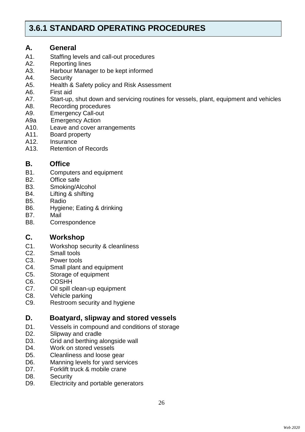## **3.6.1 STANDARD OPERATING PROCEDURES**

### **A. General**

- A1. Staffing levels and call-out procedures
- A2. Reporting lines
- A3. Harbour Manager to be kept informed
- A4. Security
- A5. Health & Safety policy and Risk Assessment
- A6. First aid
- A7. Start-up, shut down and servicing routines for vessels, plant, equipment and vehicles
- A8. Recording procedures
- A9. Emergency Call-out
- A9a Emergency Action
- A10. Leave and cover arrangements
- A11. Board property<br>A12. Insurance
- **Insurance**
- A13. Retention of Records

### **B. Office**

- B1. Computers and equipment
- B2. Office safe
- B3. Smoking/Alcohol
- B4. Lifting & shifting
- B5. Radio
- B6. Hygiene; Eating & drinking
- B7. Mail
- B8. Correspondence

### **C. Workshop**

- C1. Workshop security & cleanliness
- C2. Small tools
- C3. Power tools
- C4. Small plant and equipment
- C5. Storage of equipment
- C6. COSHH
- C7. Oil spill clean-up equipment
- C8. Vehicle parking
- C9. Restroom security and hygiene

### **D. Boatyard, slipway and stored vessels**

- D1. Vessels in compound and conditions of storage
- D2. Slipway and cradle
- D3. Grid and berthing alongside wall
- D4. Work on stored vessels
- D5. Cleanliness and loose gear
- D6. Manning levels for yard services
- D7. Forklift truck & mobile crane
- D8. Security
- D9. Electricity and portable generators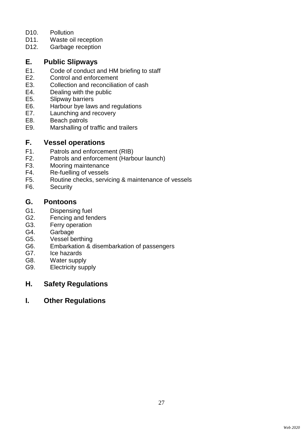- D10. Pollution
- D11. Waste oil reception
- D12. Garbage reception

### **E. Public Slipways**

- E1. Code of conduct and HM briefing to staff
- E2. Control and enforcement<br>E3. Collection and reconciliat
- E3. Collection and reconciliation of cash<br>E4. Dealing with the public
- E4. Dealing with the public<br>E5. Slipway barriers
- E5. Slipway barriers<br>E6. Harbour bye law
- Harbour bye laws and regulations
- E7. Launching and recovery
- E8. Beach patrols
- E9. Marshalling of traffic and trailers

### **F. Vessel operations**

- F1. Patrols and enforcement (RIB)
- F2. Patrols and enforcement (Harbour launch)<br>F3. Mooring maintenance
- F3. Mooring maintenance<br>F4. Re-fuelling of vessels
- Re-fuelling of vessels
- F5. Routine checks, servicing & maintenance of vessels
- F6. Security

### **G. Pontoons**

- G1. Dispensing fuel
- G2. Fencing and fenders
- G3. Ferry operation
- G4. Garbage
- G5. Vessel berthing
- G6. Embarkation & disembarkation of passengers
- G7. Ice hazards
- G8. Water supply
- G9. Electricity supply

### **H. Safety Regulations**

### **I. Other Regulations**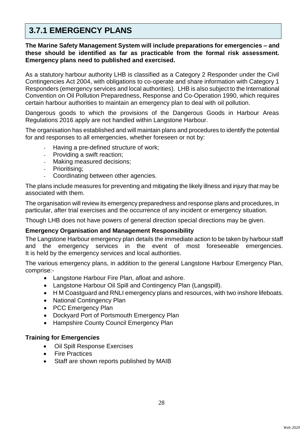## **3.7.1 EMERGENCY PLANS**

**The Marine Safety Management System will include preparations for emergencies – and these should be identified as far as practicable from the formal risk assessment. Emergency plans need to published and exercised.**

As a statutory harbour authority LHB is classified as a Category 2 Responder under the Civil Contingencies Act 2004, with obligations to co-operate and share information with Category 1 Responders (emergency services and local authorities). LHB is also subject to the International Convention on Oil Pollution Preparedness, Response and Co-Operation 1990, which requires certain harbour authorities to maintain an emergency plan to deal with oil pollution.

Dangerous goods to which the provisions of the Dangerous Goods in Harbour Areas Regulations 2016 apply are not handled within Langstone Harbour.

The organisation has established and will maintain plans and procedures to identify the potential for and responses to all emergencies, whether foreseen or not by:

- Having a pre-defined structure of work;
- Providing a swift reaction;
- Making measured decisions;
- Prioritising;
- Coordinating between other agencies.

The plans include measures for preventing and mitigating the likely illness and injury that may be associated with them.

The organisation will review its emergency preparedness and response plans and procedures, in particular, after trial exercises and the occurrence of any incident or emergency situation.

Though LHB does not have powers of general direction special directions may be given.

### **Emergency Organisation and Management Responsibility**

The Langstone Harbour emergency plan details the immediate action to be taken by harbour staff and the emergency services in the event of most foreseeable emergencies. It is held by the emergency services and local authorities.

The various emergency plans, in addition to the general Langstone Harbour Emergency Plan, comprise:-

- Langstone Harbour Fire Plan, afloat and ashore.
- Langstone Harbour Oil Spill and Contingency Plan (Langspill).
- H M Coastguard and RNLI emergency plans and resources, with two inshore lifeboats.
- National Contingency Plan
- PCC Emergency Plan
- Dockyard Port of Portsmouth Emergency Plan
- Hampshire County Council Emergency Plan

### **Training for Emergencies**

- Oil Spill Response Exercises
- Fire Practices
- Staff are shown reports published by MAIB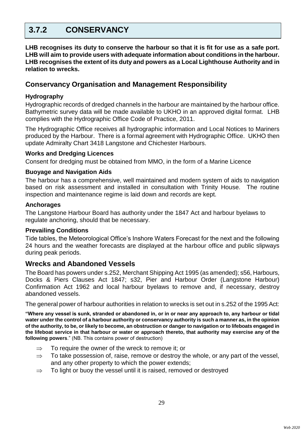## **3.7.2 CONSERVANCY**

**LHB recognises its duty to conserve the harbour so that it is fit for use as a safe port. LHB will aim to provide users with adequate information about conditions in the harbour. LHB recognises the extent of its duty and powers as a Local Lighthouse Authority and in relation to wrecks.**

### **Conservancy Organisation and Management Responsibility**

### **Hydrography**

Hydrographic records of dredged channels in the harbour are maintained by the harbour office. Bathymetric survey data will be made available to UKHO in an approved digital format. LHB complies with the Hydrographic Office Code of Practice, 2011.

The Hydrographic Office receives all hydrographic information and Local Notices to Mariners produced by the Harbour. There is a formal agreement with Hydrographic Office. UKHO then update Admiralty Chart 3418 Langstone and Chichester Harbours.

### **Works and Dredging Licences**

Consent for dredging must be obtained from MMO, in the form of a Marine Licence

### **Buoyage and Navigation Aids**

The harbour has a comprehensive, well maintained and modern system of aids to navigation based on risk assessment and installed in consultation with Trinity House. The routine inspection and maintenance regime is laid down and records are kept.

### **Anchorages**

The Langstone Harbour Board has authority under the 1847 Act and harbour byelaws to regulate anchoring, should that be necessary.

### **Prevailing Conditions**

Tide tables, the Meteorological Office's Inshore Waters Forecast for the next and the following 24 hours and the weather forecasts are displayed at the harbour office and public slipways during peak periods.

### **Wrecks and Abandoned Vessels**

The Board has powers under s.252, Merchant Shipping Act 1995 (as amended); s56, Harbours, Docks & Piers Clauses Act 1847; s32, Pier and Harbour Order (Langstone Harbour) Confirmation Act 1962 and local harbour byelaws to remove and, if necessary, destroy abandoned vessels.

The general power of harbour authorities in relation to wrecks is set out in s.252 of the 1995 Act:

**"Where any vessel is sunk, stranded or abandoned in, or in or near any approach to, any harbour or tidal water under the control of a harbour authority or conservancy authority is such a manner as, in the opinion of the authority, to be, or likely to become, an obstruction or danger to navigation or to lifeboats engaged in the lifeboat service in that harbour or water or approach thereto, that authority may exercise any of the following powers**." (NB. This contains power of destruction)

- $\Rightarrow$  To require the owner of the wreck to remove it; or
- $\Rightarrow$  To take possession of, raise, remove or destroy the whole, or any part of the vessel, and any other property to which the power extends;
- $\Rightarrow$  To light or buoy the vessel until it is raised, removed or destroyed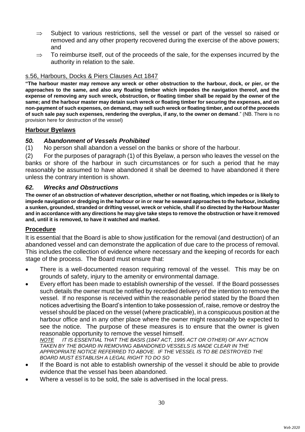- $\Rightarrow$  Subject to various restrictions, sell the vessel or part of the vessel so raised or removed and any other property recovered during the exercise of the above powers; and
- $\Rightarrow$  To reimburse itself, out of the proceeds of the sale, for the expenses incurred by the authority in relation to the sale.

### s.56, Harbours, Docks & Piers Clauses Act 1847

**"The harbour master may remove any wreck or other obstruction to the harbour, dock, or pier, or the approaches to the same, and also any floating timber which impedes the navigation thereof, and the expense of removing any such wreck, obstruction, or floating timber shall be repaid by the owner of the same; and the harbour master may detain such wreck or floating timber for securing the expenses, and on non-payment of such expenses, on demand, may sell such wreck or floating timber, and out of the proceeds of such sale pay such expenses, rendering the overplus, if any, to the owner on demand**." (NB. There is no provision here for destruction of the vessel)

### **Harbour Byelaws**

### *50. Abandonment of Vessels Prohibited*

(1) No person shall abandon a vessel on the banks or shore of the harbour.

(2) For the purposes of paragraph (1) of this Byelaw, a person who leaves the vessel on the banks or shore of the harbour in such circumstances or for such a period that he may reasonably be assumed to have abandoned it shall be deemed to have abandoned it there unless the contrary intention is shown.

#### *62. Wrecks and Obstructions*

**The owner of an obstruction of whatever description, whether or not floating, which impedes or is likely to impede navigation or dredging in the harbour or in or near he seaward approaches to the harbour, including a sunken, grounded, stranded or drifting vessel, wreck or vehicle, shall if so directed by the Harbour Master and in accordance with any directions he may give take steps to remove the obstruction or have it removed and, until it is removed, to have it watched and marked.**

#### **Procedure**

It is essential that the Board is able to show justification for the removal (and destruction) of an abandoned vessel and can demonstrate the application of due care to the process of removal. This includes the collection of evidence where necessary and the keeping of records for each stage of the process. The Board must ensure that:

- There is a well-documented reason requiring removal of the vessel. This may be on grounds of safety, injury to the amenity or environmental damage.
- Every effort has been made to establish ownership of the vessel. If the Board possesses such details the owner must be notified by recorded delivery of the intention to remove the vessel. If no response is received within the reasonable period stated by the Board then notices advertising the Board's intention to take possession of, raise, remove or destroy the vessel should be placed on the vessel (where practicable), in a conspicuous position at the harbour office and in any other place where the owner might reasonably be expected to see the notice. The purpose of these measures is to ensure that the owner is given

reasonable opportunity to remove the vessel himself.<br>NOTE IT IS ESSENTIAL THAT THE BASIS (1847 ACT. 1995 IT IS ESSENTIAL THAT THE BASIS (1847 ACT, 1995 ACT OR OTHER) OF ANY ACTION *TAKEN BY THE BOARD IN REMOVING ABANDONED VESSELS IS MADE CLEAR IN THE APPROPRIATE NOTICE REFERRED TO ABOVE. IF THE VESSEL IS TO BE DESTROYED THE BOARD MUST ESTABLISH A LEGAL RIGHT TO DO SO*

- If the Board is not able to establish ownership of the vessel it should be able to provide evidence that the vessel has been abandoned.
- Where a vessel is to be sold, the sale is advertised in the local press.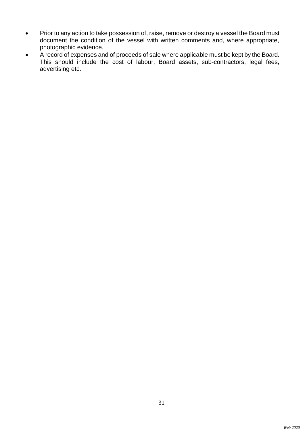- Prior to any action to take possession of, raise, remove or destroy a vessel the Board must document the condition of the vessel with written comments and, where appropriate, photographic evidence.
- A record of expenses and of proceeds of sale where applicable must be kept by the Board. This should include the cost of labour, Board assets, sub-contractors, legal fees, advertising etc.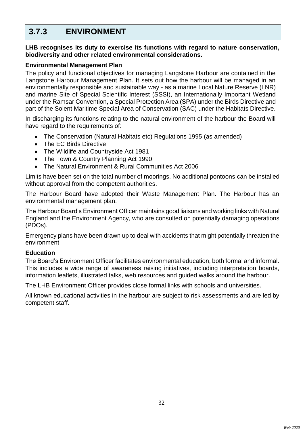## **3.7.3 ENVIRONMENT**

**LHB recognises its duty to exercise its functions with regard to nature conservation, biodiversity and other related environmental considerations.**

### **Environmental Management Plan**

The policy and functional objectives for managing Langstone Harbour are contained in the Langstone Harbour Management Plan. It sets out how the harbour will be managed in an environmentally responsible and sustainable way - as a marine Local Nature Reserve (LNR) and marine Site of Special Scientific Interest (SSSI), an Internationally Important Wetland under the Ramsar Convention, a Special Protection Area (SPA) under the Birds Directive and part of the Solent Maritime Special Area of Conservation (SAC) under the Habitats Directive.

In discharging its functions relating to the natural environment of the harbour the Board will have regard to the requirements of:

- The Conservation (Natural Habitats etc) Regulations 1995 (as amended)
- The EC Birds Directive
- The Wildlife and Countryside Act 1981
- The Town & Country Planning Act 1990
- The Natural Environment & Rural Communities Act 2006

Limits have been set on the total number of moorings. No additional pontoons can be installed without approval from the competent authorities.

The Harbour Board have adopted their Waste Management Plan. The Harbour has an environmental management plan.

The Harbour Board's Environment Officer maintains good liaisons and working links with Natural England and the Environment Agency, who are consulted on potentially damaging operations (PDOs).

Emergency plans have been drawn up to deal with accidents that might potentially threaten the environment

### **Education**

The Board's Environment Officer facilitates environmental education, both formal and informal. This includes a wide range of awareness raising initiatives, including interpretation boards, information leaflets, illustrated talks, web resources and guided walks around the harbour.

The LHB Environment Officer provides close formal links with schools and universities.

All known educational activities in the harbour are subject to risk assessments and are led by competent staff.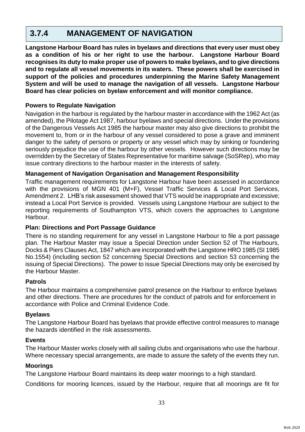## **3.7.4 MANAGEMENT OF NAVIGATION**

**Langstone Harbour Board has rules in byelaws and directions that every user must obey as a condition of his or her right to use the harbour. Langstone Harbour Board recognises its duty to make proper use of powers to make byelaws, and to give directions and to regulate all vessel movements in its waters. These powers shall be exercised in support of the policies and procedures underpinning the Marine Safety Management System and will be used to manage the navigation of all vessels. Langstone Harbour Board has clear policies on byelaw enforcement and will monitor compliance.**

### **Powers to Regulate Navigation**

Navigation in the harbour is regulated by the harbour master in accordance with the 1962 Act (as amended), the Pilotage Act 1987, harbour byelaws and special directions. Under the provisions of the Dangerous Vessels Act 1985 the harbour master may also give directions to prohibit the movement to, from or in the harbour of any vessel considered to pose a grave and imminent danger to the safety of persons or property or any vessel which may by sinking or foundering seriously prejudice the use of the harbour by other vessels. However such directions may be overridden by the Secretary of States Representative for maritime salvage (SoSRep), who may issue contrary directions to the harbour master in the interests of safety.

### **Management of Navigation Organisation and Management Responsibility**

Traffic management requirements for Langstone Harbour have been assessed in accordance with the provisions of MGN 401 (M+F), Vessel Traffic Services & Local Port Services, Amendment 2. LHB's risk assessment showed that VTS would be inappropriate and excessive; instead a Local Port Service is provided. Vessels using Langstone Harbour are subject to the reporting requirements of Southampton VTS, which covers the approaches to Langstone Harbour.

### **Plan: Directions and Port Passage Guidance**

There is no standing requirement for any vessel in Langstone Harbour to file a port passage plan. The Harbour Master may issue a Special Direction under Section 52 of The Harbours, Docks & Piers Clauses Act, 1847 which are incorporated with the Langstone HRO 1985 (SI 1985 No.1554) (including section 52 concerning Special Directions and section 53 concerning the issuing of Special Directions). The power to issue Special Directions may only be exercised by the Harbour Master.

### **Patrols**

The Harbour maintains a comprehensive patrol presence on the Harbour to enforce byelaws and other directions. There are procedures for the conduct of patrols and for enforcement in accordance with Police and Criminal Evidence Code.

### **Byelaws**

The Langstone Harbour Board has byelaws that provide effective control measures to manage the hazards identified in the risk assessments.

### **Events**

The Harbour Master works closely with all sailing clubs and organisations who use the harbour. Where necessary special arrangements, are made to assure the safety of the events they run.

#### **Moorings**

The Langstone Harbour Board maintains its deep water moorings to a high standard.

Conditions for mooring licences, issued by the Harbour, require that all moorings are fit for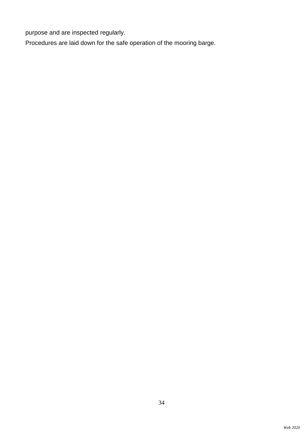purpose and are inspected regularly.

Procedures are laid down for the safe operation of the mooring barge.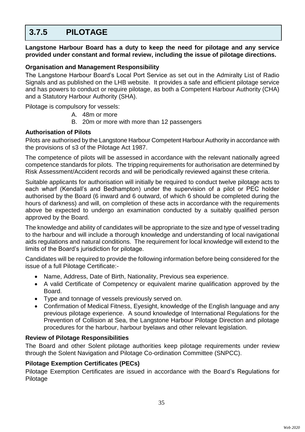## **3.7.5 PILOTAGE**

**Langstone Harbour Board has a duty to keep the need for pilotage and any service provided under constant and formal review, including the issue of pilotage directions.**

### **Organisation and Management Responsibility**

The Langstone Harbour Board's Local Port Service as set out in the Admiralty List of Radio Signals and as published on the LHB website. It provides a safe and efficient pilotage service and has powers to conduct or require pilotage, as both a Competent Harbour Authority (CHA) and a Statutory Harbour Authority (SHA).

Pilotage is compulsory for vessels:

- A. 48m or more
- B. 20m or more with more than 12 passengers

### **Authorisation of Pilots**

Pilots are authorised by the Langstone Harbour Competent Harbour Authority in accordance with the provisions of s3 of the Pilotage Act 1987.

The competence of pilots will be assessed in accordance with the relevant nationally agreed competence standards for pilots. The tripping requirements for authorisation are determined by Risk Assessment/Accident records and will be periodically reviewed against these criteria.

Suitable applicants for authorisation will initially be required to conduct twelve pilotage acts to each wharf (Kendall's and Bedhampton) under the supervision of a pilot or PEC holder authorised by the Board (6 inward and 6 outward, of which 6 should be completed during the hours of darkness) and will, on completion of these acts in accordance with the requirements above be expected to undergo an examination conducted by a suitably qualified person approved by the Board.

The knowledge and ability of candidates will be appropriate to the size and type of vessel trading to the harbour and will include a thorough knowledge and understanding of local navigational aids regulations and natural conditions. The requirement for local knowledge will extend to the limits of the Board's jurisdiction for pilotage.

Candidates will be required to provide the following information before being considered for the issue of a full Pilotage Certificate:-

- Name, Address, Date of Birth, Nationality, Previous sea experience.
- A valid Certificate of Competency or equivalent marine qualification approved by the Board.
- Type and tonnage of vessels previously served on.
- Confirmation of Medical Fitness, Eyesight, knowledge of the English language and any previous pilotage experience. A sound knowledge of International Regulations for the Prevention of Collision at Sea, the Langstone Harbour Pilotage Direction and pilotage procedures for the harbour, harbour byelaws and other relevant legislation.

### **Review of Pilotage Responsibilities**

The Board and other Solent pilotage authorities keep pilotage requirements under review through the Solent Navigation and Pilotage Co-ordination Committee (SNPCC).

### **Pilotage Exemption Certificates (PECs)**

Pilotage Exemption Certificates are issued in accordance with the Board's Regulations for Pilotage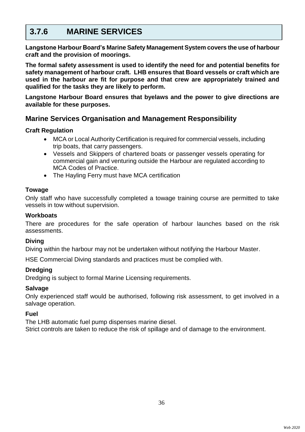## **3.7.6 MARINE SERVICES**

**Langstone Harbour Board's Marine Safety Management System covers the use of harbour craft and the provision of moorings.**

**The formal safety assessment is used to identify the need for and potential benefits for safety management of harbour craft. LHB ensures that Board vessels or craft which are used in the harbour are fit for purpose and that crew are appropriately trained and qualified for the tasks they are likely to perform.**

**Langstone Harbour Board ensures that byelaws and the power to give directions are available for these purposes.**

### **Marine Services Organisation and Management Responsibility**

### **Craft Regulation**

- MCA or Local Authority Certification is required for commercial vessels, including trip boats, that carry passengers.
- Vessels and Skippers of chartered boats or passenger vessels operating for commercial gain and venturing outside the Harbour are regulated according to MCA Codes of Practice.
- The Hayling Ferry must have MCA certification

### **Towage**

Only staff who have successfully completed a towage training course are permitted to take vessels in tow without supervision.

### **Workboats**

There are procedures for the safe operation of harbour launches based on the risk assessments.

#### **Diving**

Diving within the harbour may not be undertaken without notifying the Harbour Master.

HSE Commercial Diving standards and practices must be complied with.

### **Dredging**

Dredging is subject to formal Marine Licensing requirements.

#### **Salvage**

Only experienced staff would be authorised, following risk assessment, to get involved in a salvage operation.

### **Fuel**

The LHB automatic fuel pump dispenses marine diesel. Strict controls are taken to reduce the risk of spillage and of damage to the environment.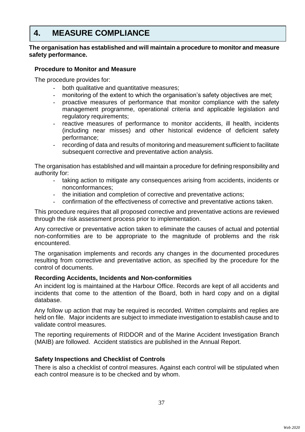## **4. MEASURE COMPLIANCE**

### **The organisation has established and will maintain a procedure to monitor and measure safety performance.**

### **Procedure to Monitor and Measure**

The procedure provides for:

- both qualitative and quantitative measures;
- monitoring of the extent to which the organisation's safety objectives are met;
- proactive measures of performance that monitor compliance with the safety management programme, operational criteria and applicable legislation and regulatory requirements;
- reactive measures of performance to monitor accidents, ill health, incidents (including near misses) and other historical evidence of deficient safety performance;
- recording of data and results of monitoring and measurement sufficient to facilitate subsequent corrective and preventative action analysis.

The organisation has established and will maintain a procedure for defining responsibility and authority for:

- taking action to mitigate any consequences arising from accidents, incidents or nonconformances;
- the initiation and completion of corrective and preventative actions;
- confirmation of the effectiveness of corrective and preventative actions taken.

This procedure requires that all proposed corrective and preventative actions are reviewed through the risk assessment process prior to implementation.

Any corrective or preventative action taken to eliminate the causes of actual and potential non-conformities are to be appropriate to the magnitude of problems and the risk encountered.

The organisation implements and records any changes in the documented procedures resulting from corrective and preventative action, as specified by the procedure for the control of documents.

### **Recording Accidents, Incidents and Non-conformities**

An incident log is maintained at the Harbour Office. Records are kept of all accidents and incidents that come to the attention of the Board, both in hard copy and on a digital database.

Any follow up action that may be required is recorded. Written complaints and replies are held on file. Major incidents are subject to immediate investigation to establish cause and to validate control measures.

The reporting requirements of RIDDOR and of the Marine Accident Investigation Branch (MAIB) are followed. Accident statistics are published in the Annual Report.

### **Safety Inspections and Checklist of Controls**

There is also a checklist of control measures. Against each control will be stipulated when each control measure is to be checked and by whom.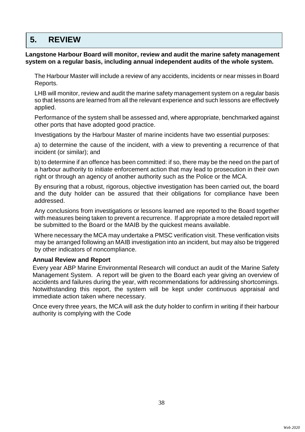## **5. REVIEW**

**Langstone Harbour Board will monitor, review and audit the marine safety management system on a regular basis, including annual independent audits of the whole system.**

The Harbour Master will include a review of any accidents, incidents or near misses in Board Reports.

LHB will monitor, review and audit the marine safety management system on a regular basis so that lessons are learned from all the relevant experience and such lessons are effectively applied.

Performance of the system shall be assessed and, where appropriate, benchmarked against other ports that have adopted good practice.

Investigations by the Harbour Master of marine incidents have two essential purposes:

a) to determine the cause of the incident, with a view to preventing a recurrence of that incident (or similar); and

b) to determine if an offence has been committed: if so, there may be the need on the part of a harbour authority to initiate enforcement action that may lead to prosecution in their own right or through an agency of another authority such as the Police or the MCA.

By ensuring that a robust, rigorous, objective investigation has been carried out, the board and the duty holder can be assured that their obligations for compliance have been addressed.

Any conclusions from investigations or lessons learned are reported to the Board together with measures being taken to prevent a recurrence. If appropriate a more detailed report will be submitted to the Board or the MAIB by the quickest means available.

Where necessary the MCA may undertake a PMSC verification visit. These verification visits may be arranged following an MAIB investigation into an incident, but may also be triggered by other indicators of noncompliance.

### **Annual Review and Report**

Every year ABP Marine Environmental Research will conduct an audit of the Marine Safety Management System. A report will be given to the Board each year giving an overview of accidents and failures during the year, with recommendations for addressing shortcomings. Notwithstanding this report, the system will be kept under continuous appraisal and immediate action taken where necessary.

Once every three years, the MCA will ask the duty holder to confirm in writing if their harbour authority is complying with the Code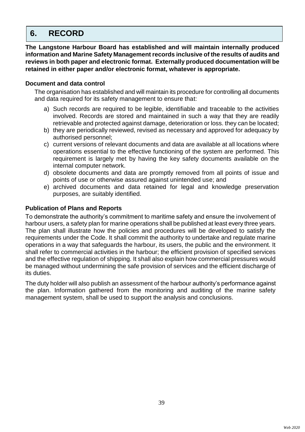## **6. RECORD**

**The Langstone Harbour Board has established and will maintain internally produced information and Marine Safety Management records inclusive of the results of audits and reviews in both paper and electronic format. Externally produced documentation will be retained in either paper and/or electronic format, whatever is appropriate.** 

### **Document and data control**

The organisation has established and will maintain its procedure for controlling all documents and data required for its safety management to ensure that:

- a) Such records are required to be legible, identifiable and traceable to the activities involved. Records are stored and maintained in such a way that they are readily retrievable and protected against damage, deterioration or loss. they can be located;
- b) they are periodically reviewed, revised as necessary and approved for adequacy by authorised personnel;
- c) current versions of relevant documents and data are available at all locations where operations essential to the effective functioning of the system are performed. This requirement is largely met by having the key safety documents available on the internal computer network.
- d) obsolete documents and data are promptly removed from all points of issue and points of use or otherwise assured against unintended use; and
- e) archived documents and data retained for legal and knowledge preservation purposes, are suitably identified.

### **Publication of Plans and Reports**

To demonstrate the authority's commitment to maritime safety and ensure the involvement of harbour users, a safety plan for marine operations shall be published at least every three years. The plan shall illustrate how the policies and procedures will be developed to satisfy the requirements under the Code. It shall commit the authority to undertake and regulate marine operations in a way that safeguards the harbour, its users, the public and the environment. It shall refer to commercial activities in the harbour; the efficient provision of specified services and the effective regulation of shipping. It shall also explain how commercial pressures would be managed without undermining the safe provision of services and the efficient discharge of its duties.

The duty holder will also publish an assessment of the harbour authority's performance against the plan. Information gathered from the monitoring and auditing of the marine safety management system, shall be used to support the analysis and conclusions.